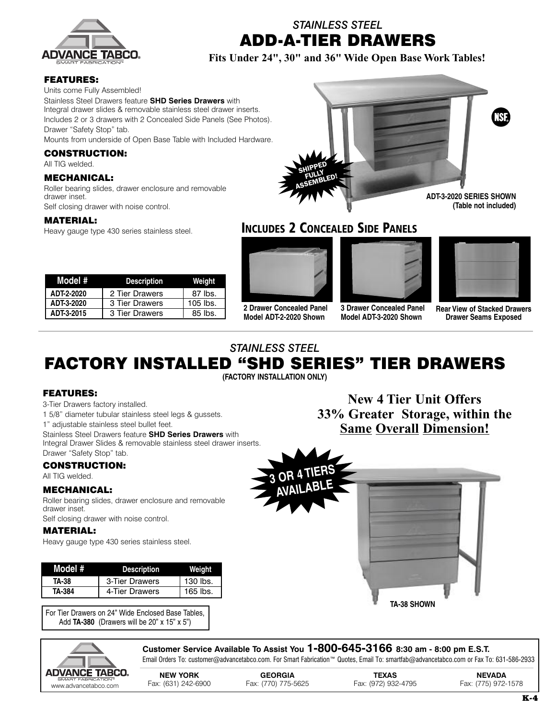

*STAINLESS STEEL* **ADD-A-TIER DRAWERS**

**Fits Under 24", 30" and 36" Wide Open Base Work Tables!**

## **FEATURES:**

Units come Fully Assembled!

Stainless Steel Drawers feature **SHD Series Drawers** with Integral drawer slides & removable stainless steel drawer inserts. Includes 2 or 3 drawers with 2 Concealed Side Panels (See Photos). Drawer "Safety Stop" tab.

Mounts from underside of Open Base Table with Included Hardware.

#### **CONSTRUCTION:**

All TIG welded.

#### **MECHANICAL:**

Roller bearing slides, drawer enclosure and removable drawer inset.

Self closing drawer with noise control.

## **MATERIAL:**

Heavy gauge type 430 series stainless steel.

| Model #    | <b>Description</b> | Weight     |
|------------|--------------------|------------|
| ADT-2-2020 | 2 Tier Drawers     | 87 lbs.    |
| ADT-3-2020 | 3 Tier Drawers     | $105$ lbs. |
| ADT-3-2015 | 3 Tier Drawers     | $85$ lbs.  |



**INCLUDES 2 CONCEALED SIDE PANELS**



**2 Drawer Concealed Panel Model ADT-2-2020 Shown**



**3 Drawer Concealed Panel Model ADT-3-2020 Shown**

|             | ______ |    |
|-------------|--------|----|
| _<br>ـ<br>٠ |        |    |
| ٠<br>. .    |        | __ |
| ٠           |        |    |
|             |        |    |

**Rear View of Stacked Drawers Drawer Seams Exposed**

## *STAINLESS STEEL*

# **FACTORY INSTALLED "SHD SERIES" TIER DRAWERS**

**(FACTORY INSTALLATION ONLY)**

## **FEATURES:**

3-Tier Drawers factory installed.

1 5/8" diameter tubular stainless steel legs & gussets.

1" adjustable stainless steel bullet feet.

Stainless Steel Drawers feature **SHD Series Drawers** with Integral Drawer Slides & removable stainless steel drawer inserts. Drawer "Safety Stop" tab.

## **CONSTRUCTION:**

All TIG welded.

## **MECHANICAL:**

Roller bearing slides, drawer enclosure and removable drawer inset.

Self closing drawer with noise control.

## **MATERIAL:**

Heavy gauge type 430 series stainless steel.

| Model # | <b>Description</b> | Weiaht     |
|---------|--------------------|------------|
| TA-38   | 3-Tier Drawers     | 130 lbs.   |
| TA-384  | 4-Tier Drawers     | $165$ lbs. |

For Tier Drawers on 24" Wide Enclosed Base Tables, Add **TA-380** (Drawers will be 20" x 15" x 5")

**New 4 Tier Unit Offers 33% Greater Storage, within the Same Overall Dimension!**





**Customer Service Available To Assist You 1-800-645-3166 8:30 am - 8:00 pm E.S.T.** Email Orders To: customer@advancetabco.com. For Smart Fabrication™ Quotes, Email To: smartfab@advancetabco.com or Fax To: 631-586-2933

**NEW YORK GEORGIA TEXAS NEVADA** www.advante-abducations" Fax: (631) 242-6900 Fax: (770) 775-5625 Fax: (972) 932-4795 Fax: (775) 972-1578